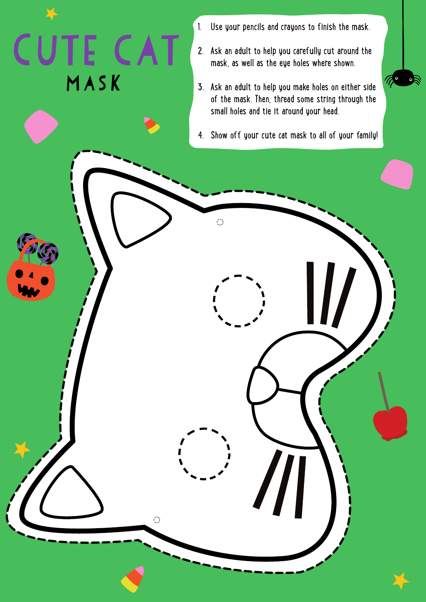- 1. Use your pencils and crayons to finish the mask.
- 2. Ask an adult to help you carefully cut around the mask, as well as the eye holes where shown.

Mask

E CA

3. Ask an adult to help you make holes on either side of the mask. Then, thread some string through the small holes and tie it around your head.

The

4. Show off your cute cat mask to all of your family!

 $\ddot{\odot}$ 

 $\bigcirc$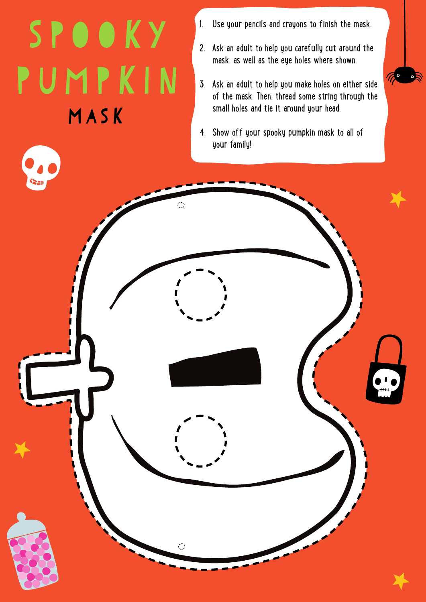Mask SPOOKY PUMPKIN

 $\bigcirc$ 

- 1. Use your pencils and crayons to finish the mask.
- 2. Ask an adult to help you carefully cut around the mask, as well as the eye holes where shown.
- 3. Ask an adult to help you make holes on either side of the mask. Then, thread some string through the small holes and tie it around your head.

The

4. Show off your spooky pumpkin mask to all of your family!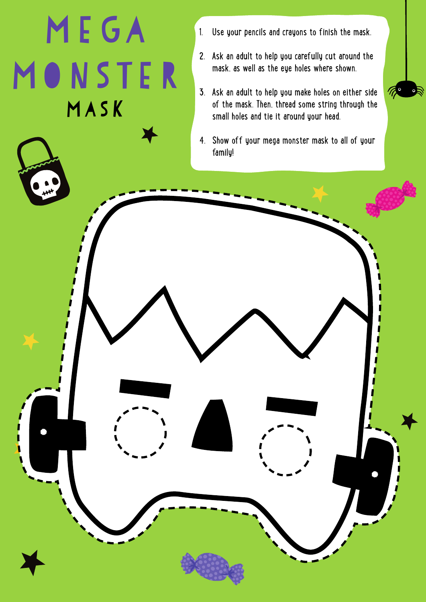## Mask Mega MONSTER

- 1. Use your pencils and crayons to finish the mask.
- 2. Ask an adult to help you carefully cut around the mask, as well as the eye holes where shown.
- 3. Ask an adult to help you make holes on either side of the mask. Then, thread some string through the small holes and tie it around your head.

 $\frac{1}{2}$ 

4. Show off your mega monster mask to all of your family!